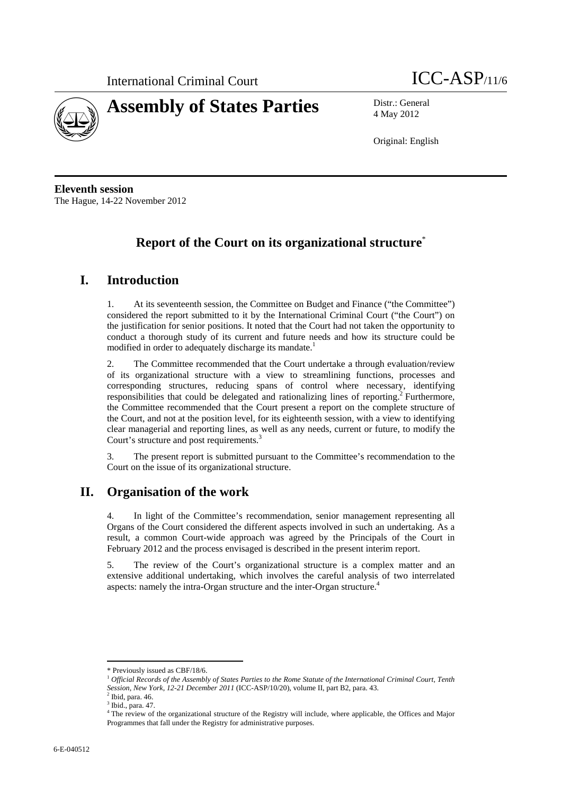



4 May 2012

Original: English

**Eleventh session**  The Hague, 14-22 November 2012

# **Report of the Court on its organizational structure**\*

# **I. Introduction**

1. At its seventeenth session, the Committee on Budget and Finance ("the Committee") considered the report submitted to it by the International Criminal Court ("the Court") on the justification for senior positions. It noted that the Court had not taken the opportunity to conduct a thorough study of its current and future needs and how its structure could be modified in order to adequately discharge its mandate.<sup>1</sup>

2. The Committee recommended that the Court undertake a through evaluation/review of its organizational structure with a view to streamlining functions, processes and corresponding structures, reducing spans of control where necessary, identifying responsibilities that could be delegated and rationalizing lines of reporting.<sup>2</sup> Furthermore, the Committee recommended that the Court present a report on the complete structure of the Court, and not at the position level, for its eighteenth session, with a view to identifying clear managerial and reporting lines, as well as any needs, current or future, to modify the Court's structure and post requirements.<sup>3</sup>

3. The present report is submitted pursuant to the Committee's recommendation to the Court on the issue of its organizational structure.

# **II. Organisation of the work**

4. In light of the Committee's recommendation, senior management representing all Organs of the Court considered the different aspects involved in such an undertaking. As a result, a common Court-wide approach was agreed by the Principals of the Court in February 2012 and the process envisaged is described in the present interim report.

5. The review of the Court's organizational structure is a complex matter and an extensive additional undertaking, which involves the careful analysis of two interrelated aspects: namely the intra-Organ structure and the inter-Organ structure.<sup>4</sup>

 $\overline{a}$ 

<sup>\*</sup> Previously issued as CBF/18/6.

<sup>1</sup> *Official Records of the Assembly of States Parties to the Rome Statute of the International Criminal Court, Tenth Session, New York, 12-21 December 2011* (ICC-ASP/10/20), volume II, part B2, para. 43. 2

 $2$  Ibid, para. 46.

 $3$  Ibid., para. 47.

The review of the organizational structure of the Registry will include, where applicable, the Offices and Major Programmes that fall under the Registry for administrative purposes.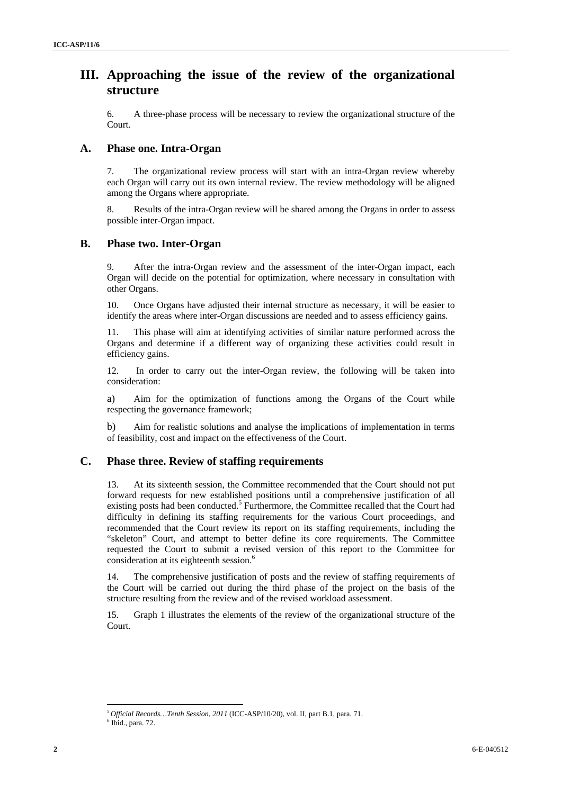### **III. Approaching the issue of the review of the organizational structure**

6. A three-phase process will be necessary to review the organizational structure of the Court.

### **A. Phase one. Intra-Organ**

7. The organizational review process will start with an intra-Organ review whereby each Organ will carry out its own internal review. The review methodology will be aligned among the Organs where appropriate.

8. Results of the intra-Organ review will be shared among the Organs in order to assess possible inter-Organ impact.

#### **B. Phase two. Inter-Organ**

9. After the intra-Organ review and the assessment of the inter-Organ impact, each Organ will decide on the potential for optimization, where necessary in consultation with other Organs.

10. Once Organs have adjusted their internal structure as necessary, it will be easier to identify the areas where inter-Organ discussions are needed and to assess efficiency gains.

11. This phase will aim at identifying activities of similar nature performed across the Organs and determine if a different way of organizing these activities could result in efficiency gains.

12. In order to carry out the inter-Organ review, the following will be taken into consideration:

a) Aim for the optimization of functions among the Organs of the Court while respecting the governance framework;

b) Aim for realistic solutions and analyse the implications of implementation in terms of feasibility, cost and impact on the effectiveness of the Court.

### **C. Phase three. Review of staffing requirements**

13. At its sixteenth session, the Committee recommended that the Court should not put forward requests for new established positions until a comprehensive justification of all existing posts had been conducted.<sup>5</sup> Furthermore, the Committee recalled that the Court had difficulty in defining its staffing requirements for the various Court proceedings, and recommended that the Court review its report on its staffing requirements, including the "skeleton" Court, and attempt to better define its core requirements. The Committee requested the Court to submit a revised version of this report to the Committee for consideration at its eighteenth session.<sup>6</sup>

14. The comprehensive justification of posts and the review of staffing requirements of the Court will be carried out during the third phase of the project on the basis of the structure resulting from the review and of the revised workload assessment.

15. Graph 1 illustrates the elements of the review of the organizational structure of the Court.

 $\overline{a}$ 

<sup>5</sup>*Official Records…Tenth Session, 2011* (ICC-ASP/10/20), vol. II, part B.1, para. 71. 6

 $6$  Ibid., para. 72.